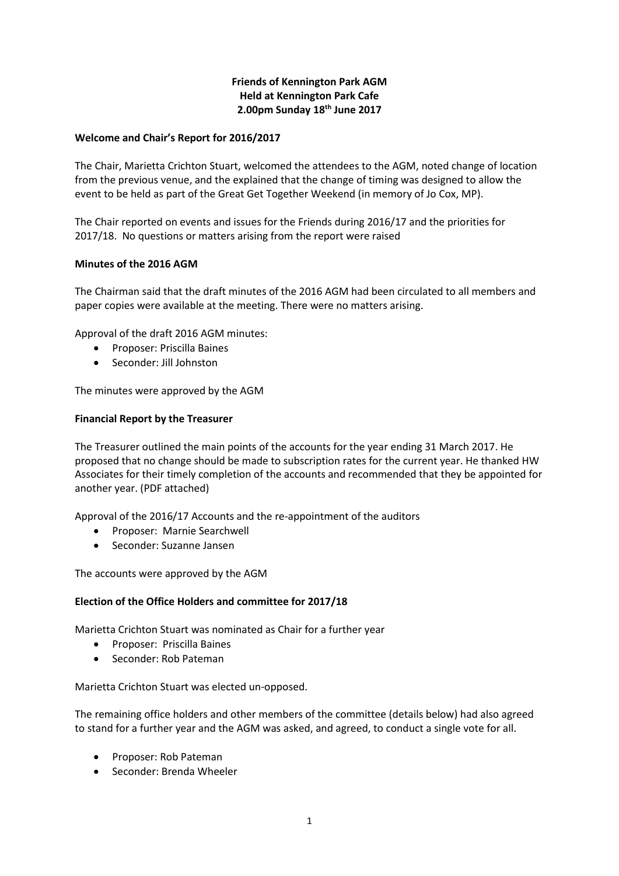# **Friends of Kennington Park AGM Held at Kennington Park Cafe 2.00pm Sunday 18th June 2017**

### **Welcome and Chair's Report for 2016/2017**

The Chair, Marietta Crichton Stuart, welcomed the attendees to the AGM, noted change of location from the previous venue, and the explained that the change of timing was designed to allow the event to be held as part of the Great Get Together Weekend (in memory of Jo Cox, MP).

The Chair reported on events and issues for the Friends during 2016/17 and the priorities for 2017/18. No questions or matters arising from the report were raised

## **Minutes of the 2016 AGM**

The Chairman said that the draft minutes of the 2016 AGM had been circulated to all members and paper copies were available at the meeting. There were no matters arising.

Approval of the draft 2016 AGM minutes:

- Proposer: Priscilla Baines
- Seconder: Jill Johnston

The minutes were approved by the AGM

## **Financial Report by the Treasurer**

The Treasurer outlined the main points of the accounts for the year ending 31 March 2017. He proposed that no change should be made to subscription rates for the current year. He thanked HW Associates for their timely completion of the accounts and recommended that they be appointed for another year. (PDF attached)

Approval of the 2016/17 Accounts and the re-appointment of the auditors

- Proposer: Marnie Searchwell
- Seconder: Suzanne Jansen

The accounts were approved by the AGM

#### **Election of the Office Holders and committee for 2017/18**

Marietta Crichton Stuart was nominated as Chair for a further year

- Proposer: Priscilla Baines
- Seconder: Rob Pateman

Marietta Crichton Stuart was elected un-opposed.

The remaining office holders and other members of the committee (details below) had also agreed to stand for a further year and the AGM was asked, and agreed, to conduct a single vote for all.

- Proposer: Rob Pateman
- Seconder: Brenda Wheeler